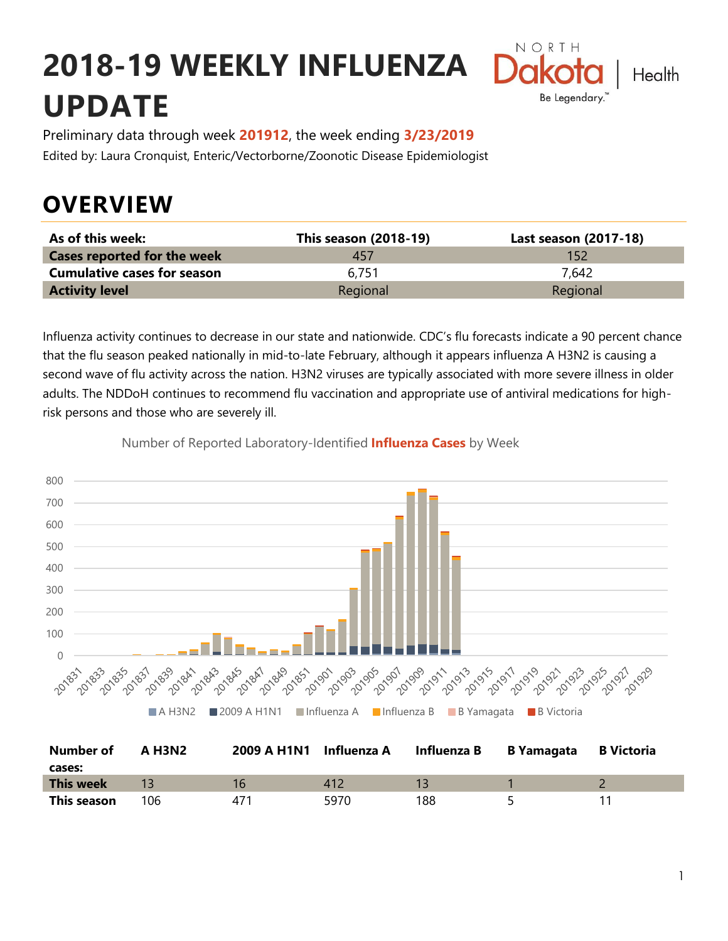# **2018-19 WEEKLY INFLUENZA UPDATE**



Preliminary data through week **201912**, the week ending **3/23/2019** Edited by: Laura Cronquist, Enteric/Vectorborne/Zoonotic Disease Epidemiologist

# **OVERVIEW**

| As of this week:                   | This season (2018-19) | Last season (2017-18) |
|------------------------------------|-----------------------|-----------------------|
| <b>Cases reported for the week</b> | 45/                   | 152                   |
| <b>Cumulative cases for season</b> | 6.751                 | 7.642                 |
| <b>Activity level</b>              | Regional              | Regional              |

Influenza activity continues to decrease in our state and nationwide. CDC's flu forecasts indicate a 90 percent chance that the flu season peaked nationally in mid-to-late February, although it appears influenza A H3N2 is causing a second wave of flu activity across the nation. H3N2 viruses are typically associated with more severe illness in older adults. The NDDoH continues to recommend flu vaccination and appropriate use of antiviral medications for highrisk persons and those who are severely ill.



Number of Reported Laboratory-Identified **Influenza Cases** by Week

| <b>Number of</b> | <b>A H3N2</b> | 2009 A H1N1 Influenza A |      | Influenza B | B Yamagata | <b>B</b> Victoria |
|------------------|---------------|-------------------------|------|-------------|------------|-------------------|
| cases:           |               |                         |      |             |            |                   |
| <b>This week</b> |               | 16                      | 412  |             |            |                   |
| This season      | 106           | 471                     | 5970 | 188         |            |                   |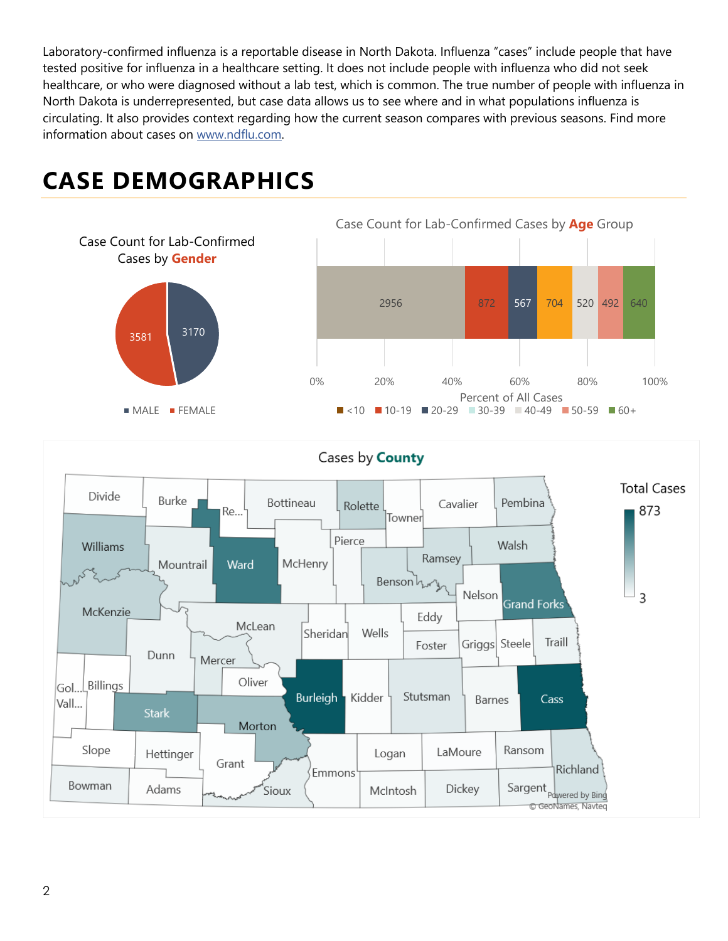Laboratory-confirmed influenza is a reportable disease in North Dakota. Influenza "cases" include people that have tested positive for influenza in a healthcare setting. It does not include people with influenza who did not seek healthcare, or who were diagnosed without a lab test, which is common. The true number of people with influenza in North Dakota is underrepresented, but case data allows us to see where and in what populations influenza is circulating. It also provides context regarding how the current season compares with previous seasons. Find more information about cases on [www.ndflu.com.](file://///nd.gov/doh/DOH-DATA/MSS/DC/PROGRAM/IMMUNE/Immunize/Influenza/Inf18-19/Surveillance/Weekly%20Summaries/www.ndflu.com)

# **CASE DEMOGRAPHICS**





#### Cases by **County**

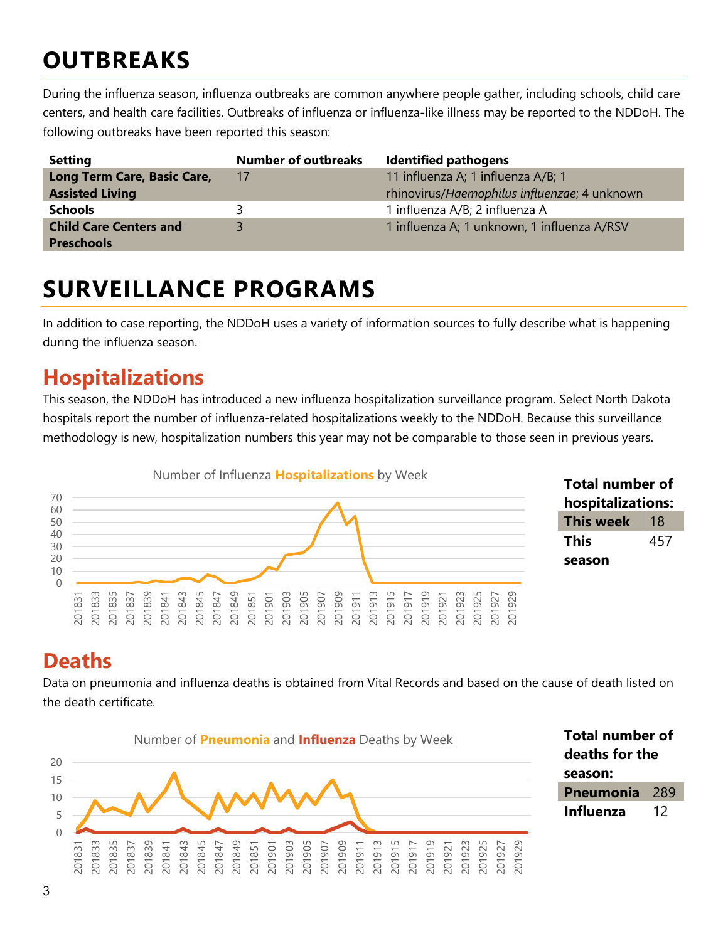# **OUTBREAKS**

During the influenza season, influenza outbreaks are common anywhere people gather, including schools, child care centers, and health care facilities. Outbreaks of influenza or influenza-like illness may be reported to the NDDoH. The following outbreaks have been reported this season:

| <b>Setting</b>                | <b>Number of outbreaks</b> | <b>Identified pathogens</b>                  |
|-------------------------------|----------------------------|----------------------------------------------|
| Long Term Care, Basic Care,   | 17                         | 11 influenza A; 1 influenza A/B; 1           |
| <b>Assisted Living</b>        |                            | rhinovirus/Haemophilus influenzae; 4 unknown |
| <b>Schools</b>                |                            | 1 influenza A/B; 2 influenza A               |
| <b>Child Care Centers and</b> | R                          | 1 influenza A; 1 unknown, 1 influenza A/RSV  |
| <b>Preschools</b>             |                            |                                              |

### **SURVEILLANCE PROGRAMS**

In addition to case reporting, the NDDoH uses a variety of information sources to fully describe what is happening during the influenza season.

#### **Hospitalizations**

This season, the NDDoH has introduced a new influenza hospitalization surveillance program. Select North Dakota hospitals report the number of influenza-related hospitalizations weekly to the NDDoH. Because this surveillance methodology is new, hospitalization numbers this year may not be comparable to those seen in previous years.





#### **Deaths**

Data on pneumonia and influenza deaths is obtained from Vital Records and based on the cause of death listed on the death certificate.



**Total number of deaths for the season: Pneumonia** 289 **Influenza** 12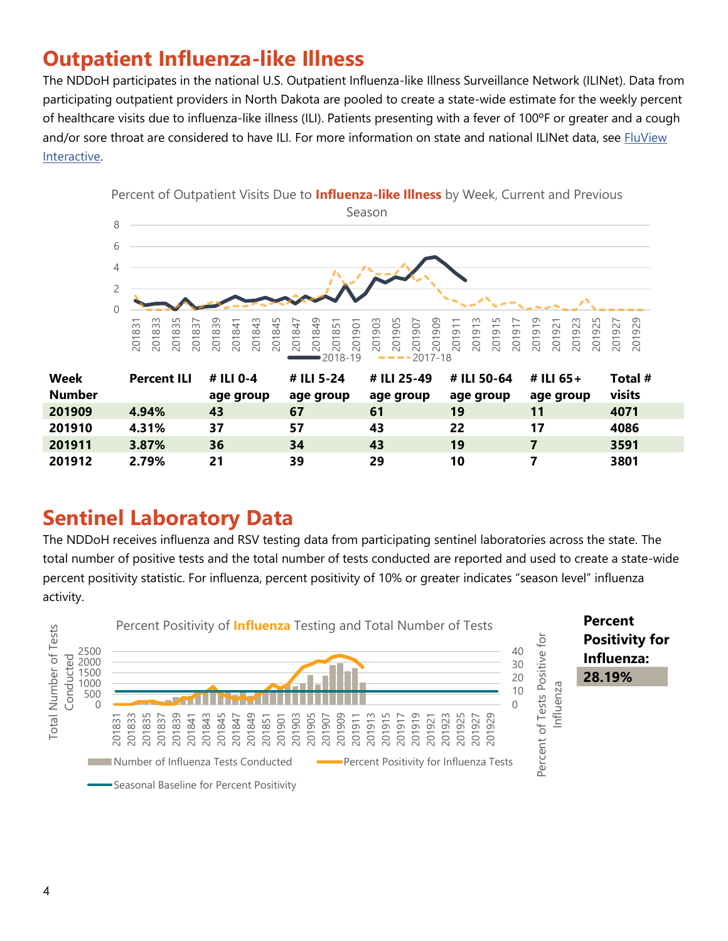### **Outpatient Influenza-like Illness**

The NDDoH participates in the national U.S. Outpatient Influenza-like Illness Surveillance Network (ILINet). Data from participating outpatient providers in North Dakota are pooled to create a state-wide estimate for the weekly percent of healthcare visits due to influenza-like illness (ILI). Patients presenting with a fever of 100ºF or greater and a cough and/or sore throat are considered to have ILI. For more information on state and national ILINet data, see FluView [Interactive.](https://gis.cdc.gov/grasp/fluview/fluportaldashboard.html)



#### **Sentinel Laboratory Data**

The NDDoH receives influenza and RSV testing data from participating sentinel laboratories across the state. The total number of positive tests and the total number of tests conducted are reported and used to create a state-wide percent positivity statistic. For influenza, percent positivity of 10% or greater indicates "season level" influenza activity.

**2.79% 21 39 29 10 7 3801**

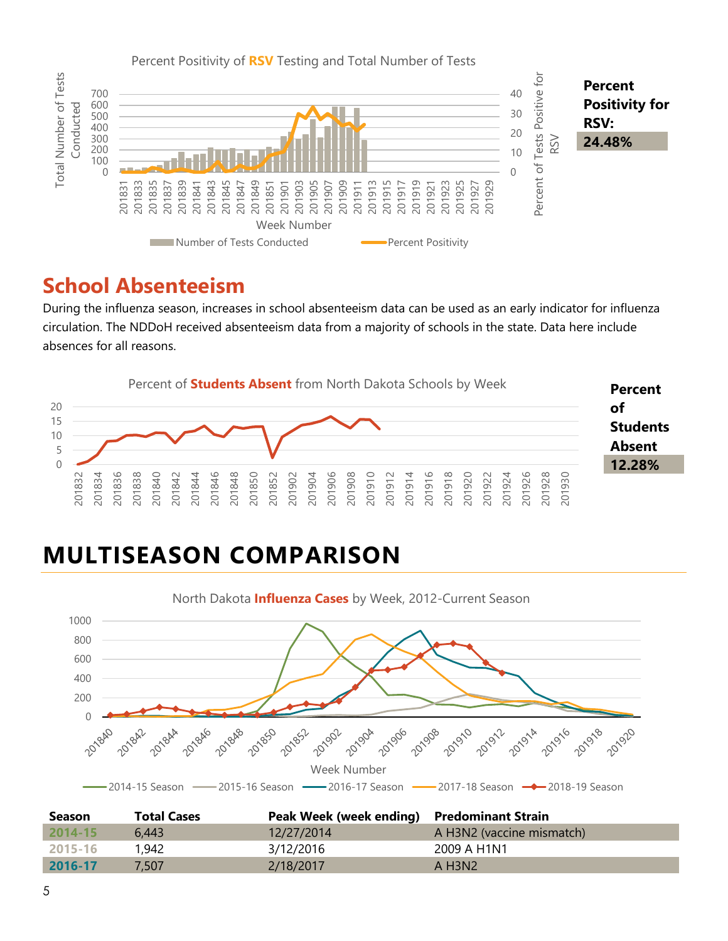

#### **School Absenteeism**

During the influenza season, increases in school absenteeism data can be used as an early indicator for influenza circulation. The NDDoH received absenteeism data from a majority of schools in the state. Data here include absences for all reasons.



# **MULTISEASON COMPARISON**



| <b>Season</b> | <b>Total Cases</b> | Peak Week (week ending) Predominant Strain |                                   |
|---------------|--------------------|--------------------------------------------|-----------------------------------|
| $2014 - 15$   | 6.443              | 12/27/2014                                 | A H3N2 (vaccine mismatch)         |
| 2015-16       | 1,942              | 3/12/2016                                  | 2009 A H1N1                       |
| 2016-17       | 7.507              | 2/18/2017                                  | $A$ H <sub>3</sub> N <sub>2</sub> |